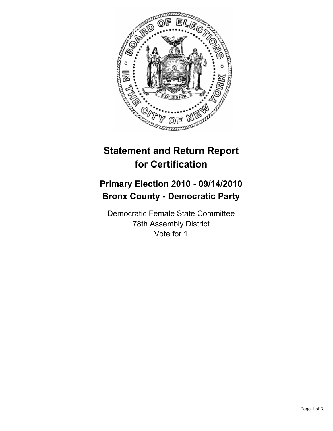

# **Statement and Return Report for Certification**

## **Primary Election 2010 - 09/14/2010 Bronx County - Democratic Party**

Democratic Female State Committee 78th Assembly District Vote for 1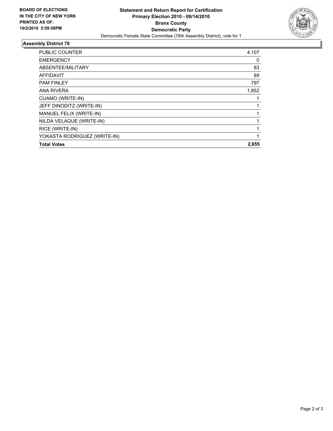

### **Assembly District 78**

| <b>PUBLIC COUNTER</b>        | 4,107 |
|------------------------------|-------|
| <b>EMERGENCY</b>             | 0     |
| ABSENTEE/MILITARY            | 83    |
| <b>AFFIDAVIT</b>             | 89    |
| <b>PAM FINLEY</b>            | 797   |
| <b>ANA RIVERA</b>            | 1,852 |
| CUAMO (WRITE-IN)             |       |
| JEFF DINODITZ (WRITE-IN)     |       |
| MANUEL FELIX (WRITE-IN)      |       |
| NILDA VELAQUE (WRITE-IN)     |       |
| RICE (WRITE-IN)              | 1     |
| YOKASTA RODRIGUEZ (WRITE-IN) | 1     |
| <b>Total Votes</b>           | 2,655 |